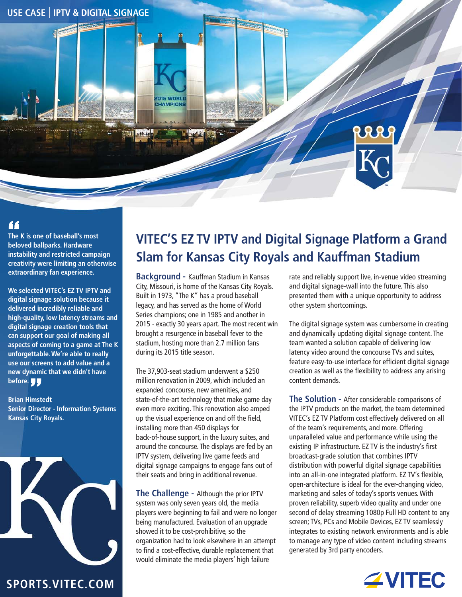

## "

**The K is one of baseball's most beloved ballparks. Hardware instability and restricted campaign creativity were limiting an otherwise extraordinary fan experience.**

**We selected VITEC's EZ TV IPTV and digital signage solution because it delivered incredibly reliable and high-quality, low latency streams and digital signage creation tools that can support our goal of making all aspects of coming to a game at The K unforgettable. We're able to really use our screens to add value and a new dynamic that we didn't have before.**

**Brian Himstedt Senior Director - Information Systems Kansas City Royals.** 



## **VITEC'S EZ TV IPTV and Digital Signage Platform a Grand Slam for Kansas City Royals and Kauffman Stadium**

**Background -** Kauffman Stadium in Kansas City, Missouri, is home of the Kansas City Royals. Built in 1973, "The K" has a proud baseball legacy, and has served as the home of World Series champions; one in 1985 and another in 2015 - exactly 30 years apart. The most recent win brought a resurgence in baseball fever to the stadium, hosting more than 2.7 million fans during its 2015 title season.

The 37,903-seat stadium underwent a \$250 million renovation in 2009, which included an expanded concourse, new amenities, and state-of-the-art technology that make game day even more exciting. This renovation also amped up the visual experience on and off the field, installing more than 450 displays for back-of-house support, in the luxury suites, and around the concourse. The displays are fed by an IPTV system, delivering live game feeds and digital signage campaigns to engage fans out of their seats and bring in additional revenue.

**The Challenge -** Although the prior IPTV system was only seven years old, the media players were beginning to fail and were no longer being manufactured. Evaluation of an upgrade showed it to be cost-prohibitive, so the organization had to look elsewhere in an attempt to find a cost-effective, durable replacement that would eliminate the media players' high failure

rate and reliably support live, in-venue video streaming and digital signage-wall into the future. This also presented them with a unique opportunity to address other system shortcomings.

The digital signage system was cumbersome in creating and dynamically updating digital signage content. The team wanted a solution capable of delivering low latency video around the concourse TVs and suites, feature easy-to-use interface for efficient digital signage creation as well as the flexibility to address any arising content demands.

**The Solution -** After considerable comparisons of the IPTV products on the market, the team determined VITEC's EZ TV Platform cost effectively delivered on all of the team's requirements, and more. Offering unparalleled value and performance while using the existing IP infrastructure. EZ TV is the industry's first broadcast-grade solution that combines IPTV distribution with powerful digital signage capabilities into an all-in-one integrated platform. EZ TV's flexible, open-architecture is ideal for the ever-changing video, marketing and sales of today's sports venues. With proven reliability, superb video quality and under one second of delay streaming 1080p Full HD content to any screen; TVs, PCs and Mobile Devices, EZ TV seamlessly integrates to existing network environments and is able to manage any type of video content including streams generated by 3rd party encoders.